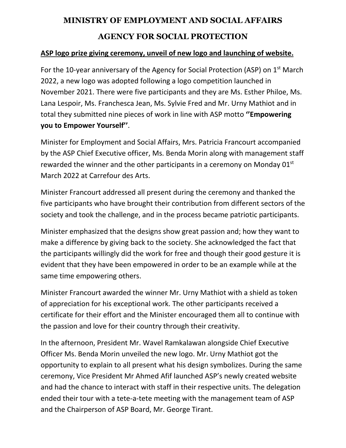## **MINISTRY OF EMPLOYMENT AND SOCIAL AFFAIRS AGENCY FOR SOCIAL PROTECTION**

## **ASP logo prize giving ceremony, unveil of new logo and launching of website.**

For the 10-year anniversary of the Agency for Social Protection (ASP) on 1<sup>st</sup> March 2022, a new logo was adopted following a logo competition launched in November 2021. There were five participants and they are Ms. Esther Philoe, Ms. Lana Lespoir, Ms. Franchesca Jean, Ms. Sylvie Fred and Mr. Urny Mathiot and in total they submitted nine pieces of work in line with ASP motto **''Empowering you to Empower Yourself''**.

Minister for Employment and Social Affairs, Mrs. Patricia Francourt accompanied by the ASP Chief Executive officer, Ms. Benda Morin along with management staff rewarded the winner and the other participants in a ceremony on Monday  $01<sup>st</sup>$ March 2022 at Carrefour des Arts.

Minister Francourt addressed all present during the ceremony and thanked the five participants who have brought their contribution from different sectors of the society and took the challenge, and in the process became patriotic participants.

Minister emphasized that the designs show great passion and; how they want to make a difference by giving back to the society. She acknowledged the fact that the participants willingly did the work for free and though their good gesture it is evident that they have been empowered in order to be an example while at the same time empowering others.

Minister Francourt awarded the winner Mr. Urny Mathiot with a shield as token of appreciation for his exceptional work. The other participants received a certificate for their effort and the Minister encouraged them all to continue with the passion and love for their country through their creativity.

In the afternoon, President Mr. Wavel Ramkalawan alongside Chief Executive Officer Ms. Benda Morin unveiled the new logo. Mr. Urny Mathiot got the opportunity to explain to all present what his design symbolizes. During the same ceremony, Vice President Mr Ahmed Afif launched ASP's newly created website and had the chance to interact with staff in their respective units. The delegation ended their tour with a tete-a-tete meeting with the management team of ASP and the Chairperson of ASP Board, Mr. George Tirant.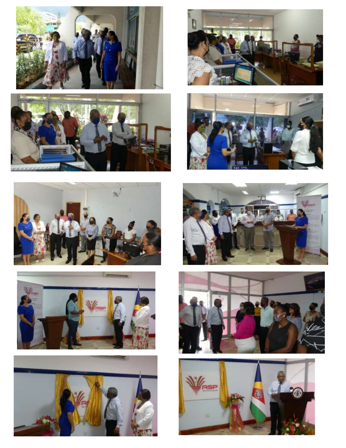